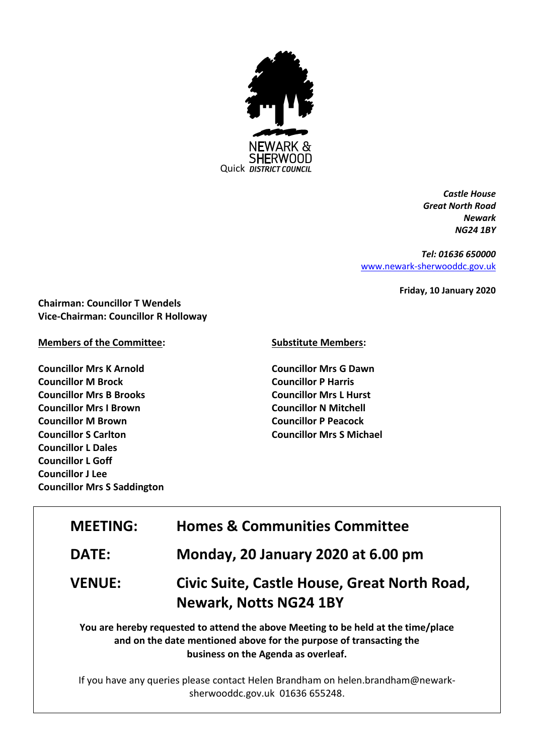

*Castle House Great North Road Newark NG24 1BY*

*Tel: 01636 650000* [www.newark-sherwooddc.gov.uk](http://www.newark-sherwooddc.gov.uk/)

**Friday, 10 January 2020**

**Chairman: Councillor T Wendels Vice-Chairman: Councillor R Holloway**

**Members of the Committee:**

**Councillor Mrs K Arnold Councillor M Brock Councillor Mrs B Brooks Councillor Mrs I Brown Councillor M Brown Councillor S Carlton Councillor L Dales Councillor L Goff Councillor J Lee Councillor Mrs S Saddington** **Substitute Members:**

**Councillor Mrs G Dawn Councillor P Harris Councillor Mrs L Hurst Councillor N Mitchell Councillor P Peacock Councillor Mrs S Michael**

| <b>MEETING:</b>                                                                                                                                         | <b>Homes &amp; Communities Committee</b>                                      |  |
|---------------------------------------------------------------------------------------------------------------------------------------------------------|-------------------------------------------------------------------------------|--|
| <b>DATE:</b>                                                                                                                                            | Monday, 20 January 2020 at 6.00 pm                                            |  |
| <b>VENUE:</b>                                                                                                                                           | Civic Suite, Castle House, Great North Road,<br><b>Newark, Notts NG24 1BY</b> |  |
| You are hereby requested to attend the above Meeting to be held at the time/place<br>and on the date mentioned above for the purpose of transacting the |                                                                               |  |

**business on the Agenda as overleaf.**

If you have any queries please contact Helen Brandham on helen.brandham@newarksherwooddc.gov.uk 01636 655248.